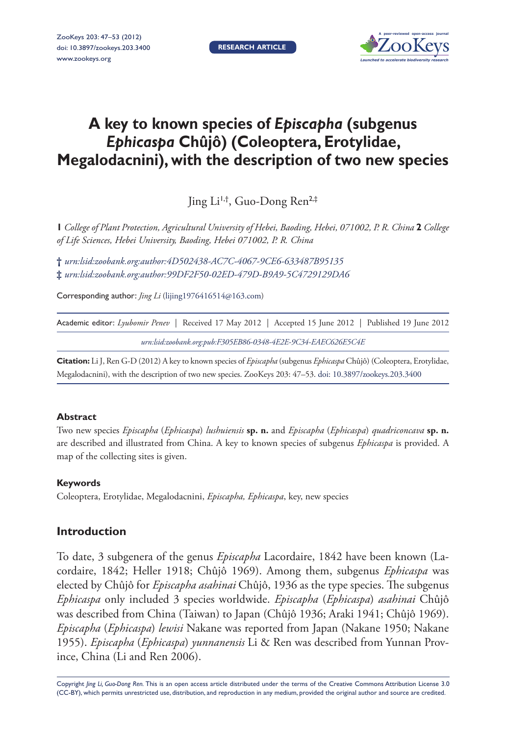

# **A key to known species of** *Episcapha* **(subgenus**  *Ephicaspa* **Chûjô) (Coleoptera, Erotylidae, Megalodacnini), with the description of two new species**

Jing Li1,†, Guo-Dong Ren2,‡

**1** *College of Plant Protection, Agricultural University of Hebei, Baoding, Hebei, 071002, P. R. China* **2** *College of Life Sciences, Hebei University, Baoding, Hebei 071002, P. R. China*

**†** *[urn:lsid:zoobank.org:author:4D502438-AC7C-4067-9CE6-633487B95135](http://zoobank.org/?lsid=urn:lsid:zoobank.org:author:4D502438-AC7C-4067-9CE6-633487B95135)* **‡** *[urn:lsid:zoobank.org:author:99DF2F50-02ED-479D-B9A9-5C4729129DA6](http://zoobank.org/?lsid=urn:lsid:zoobank.org:author:99DF2F50-02ED-479D-B9A9-5C4729129DA6)*

Corresponding author: *Jing Li* [\(lijing1976416514@163.com\)](mailto:lijing1976416514@163.com)

| Academic editor: Lyubomir Penev   Received 17 May 2012   Accepted 15 June 2012   Published 19 June 2012 |  |
|---------------------------------------------------------------------------------------------------------|--|
| urn:lsid:zoobank.org:pub:F305EB86-0348-4E2E-9C34-EAEC626E5C4E                                           |  |

**Citation:** Li J, Ren G-D (2012) A key to known species of *Episcapha* (subgenus *Ephicaspa* Chûjô) (Coleoptera, Erotylidae, Megalodacnini), with the description of two new species. ZooKeys 203: 47–53. [doi: 10.3897/zookeys.203.3400](http://dx.doi.org/10.3897/zookeys.203.3400)

#### **Abstract**

Two new species *Episcapha* (*Ephicaspa*) *lushuiensis* **sp. n.** and *Episcapha* (*Ephicaspa*) *quadriconcava* **sp. n.** are described and illustrated from China. A key to known species of subgenus *Ephicaspa* is provided. A map of the collecting sites is given.

# **Keywords**

Coleoptera, Erotylidae, Megalodacnini, *Episcapha, Ephicaspa*, key, new species

# **Introduction**

To date, 3 subgenera of the genus *Episcapha* Lacordaire, 1842 have been known (Lacordaire, 1842; Heller 1918; Chûjô 1969). Among them, subgenus *Ephicaspa* was elected by Chûjô for *Episcapha asahinai* Chûjô, 1936 as the type species. The subgenus *Ephicaspa* only included 3 species worldwide. *Episcapha* (*Ephicaspa*) *asahinai* Chûjô was described from China (Taiwan) to Japan (Chûjô 1936; Araki 1941; Chûjô 1969). *Episcapha* (*Ephicaspa*) *lewisi* Nakane was reported from Japan (Nakane 1950; Nakane 1955). *Episcapha* (*Ephicaspa*) *yunnanensis* Li & Ren was described from Yunnan Province, China (Li and Ren 2006).

Copyright *Jing Li, Guo-Dong Ren.* This is an open access article distributed under the terms of the [Creative Commons Attribution License 3.0](http://creativecommons.org/licenses/by/3.0/)  [\(CC-BY\),](http://creativecommons.org/licenses/by/3.0/) which permits unrestricted use, distribution, and reproduction in any medium, provided the original author and source are credited.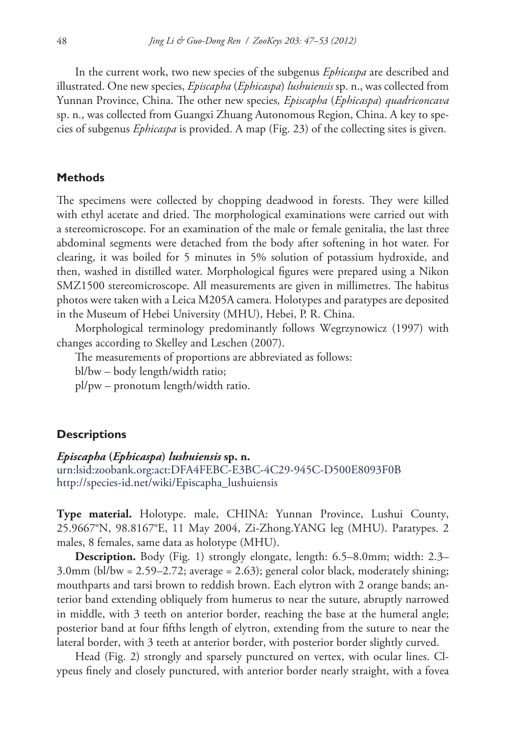In the current work, two new species of the subgenus *Ephicaspa* are described and illustrated. One new species, *Episcapha* (*Ephicaspa*) *lushuiensis* sp. n., was collected from Yunnan Province, China. The other new species*, Episcapha* (*Ephicaspa*) *quadriconcava*  sp. n., was collected from Guangxi Zhuang Autonomous Region, China. A key to species of subgenus *Ephicaspa* is provided. A map (Fig. 23) of the collecting sites is given.

#### **Methods**

The specimens were collected by chopping deadwood in forests. They were killed with ethyl acetate and dried. The morphological examinations were carried out with a stereomicroscope. For an examination of the male or female genitalia, the last three abdominal segments were detached from the body after softening in hot water. For clearing, it was boiled for 5 minutes in 5% solution of potassium hydroxide, and then, washed in distilled water. Morphological figures were prepared using a Nikon SMZ1500 stereomicroscope. All measurements are given in millimetres. The habitus photos were taken with a Leica M205A camera. Holotypes and paratypes are deposited in the Museum of Hebei University (MHU), Hebei, P. R. China.

Morphological terminology predominantly follows Wegrzynowicz (1997) with changes according to Skelley and Leschen (2007).

The measurements of proportions are abbreviated as follows:

bl/bw – body length/width ratio;

pl/pw – pronotum length/width ratio.

# **Descriptions**

# *Episcapha* **(***Ephicaspa***)** *lushuiensis* **sp. n.** [urn:lsid:zoobank.org:act:DFA4FEBC-E3BC-4C29-945C-D500E8093F0B](http://zoobank.org/?lsid=urn:lsid:zoobank.org:act:DFA4FEBC-E3BC-4C29-945C-D500E8093F0B) [http://species-id.net/wiki/Episcapha\\_lushuiensis](http://species-id.net/wiki/Episcapha_lushuiensis)

**Type material.** Holotype. male, CHINA: Yunnan Province, Lushui County, 25.9667°N, 98.8167°E, 11 May 2004, Zi-Zhong.YANG leg (MHU). Paratypes. 2 males, 8 females, same data as holotype (MHU).

**Description.** Body (Fig. 1) strongly elongate, length: 6.5–8.0mm; width: 2.3– 3.0mm (bl/bw =  $2.59 - 2.72$ ; average =  $2.63$ ); general color black, moderately shining; mouthparts and tarsi brown to reddish brown. Each elytron with 2 orange bands; anterior band extending obliquely from humerus to near the suture, abruptly narrowed in middle, with 3 teeth on anterior border, reaching the base at the humeral angle; posterior band at four fifths length of elytron, extending from the suture to near the lateral border, with 3 teeth at anterior border, with posterior border slightly curved.

Head (Fig. 2) strongly and sparsely punctured on vertex, with ocular lines. Clypeus finely and closely punctured, with anterior border nearly straight, with a fovea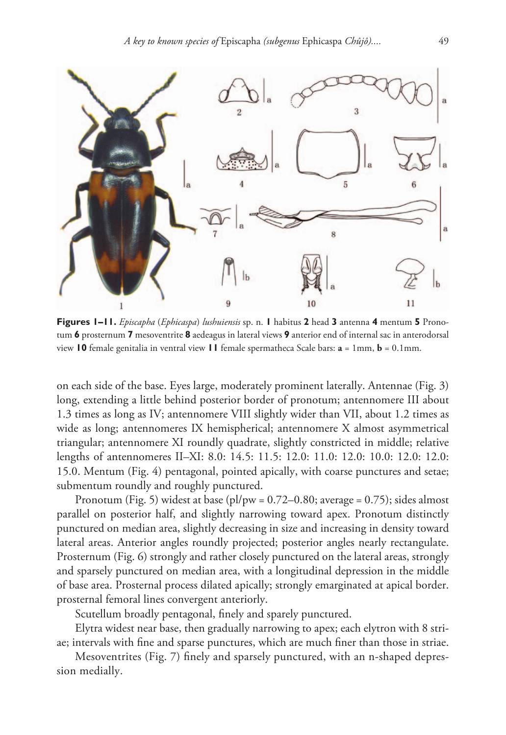

**Figures 1–11.** *Episcapha* (*Ephicaspa*) *lushuiensis* sp. n. **1** habitus **2** head **3** antenna **4** mentum **5** Pronotum **6** prosternum **7** mesoventrite **8** aedeagus in lateral views **9** anterior end of internal sac in anterodorsal view **10** female genitalia in ventral view **11** female spermatheca Scale bars: **a** = 1mm, **b** = 0.1mm.

on each side of the base. Eyes large, moderately prominent laterally. Antennae (Fig. 3) long, extending a little behind posterior border of pronotum; antennomere III about 1.3 times as long as IV; antennomere VIII slightly wider than VII, about 1.2 times as wide as long; antennomeres IX hemispherical; antennomere X almost asymmetrical triangular; antennomere XI roundly quadrate, slightly constricted in middle; relative lengths of antennomeres II–XI: 8.0: 14.5: 11.5: 12.0: 11.0: 12.0: 10.0: 12.0: 12.0: 15.0. Mentum (Fig. 4) pentagonal, pointed apically, with coarse punctures and setae; submentum roundly and roughly punctured.

Pronotum (Fig. 5) widest at base (pl/pw =  $0.72-0.80$ ; average =  $0.75$ ); sides almost parallel on posterior half, and slightly narrowing toward apex. Pronotum distinctly punctured on median area, slightly decreasing in size and increasing in density toward lateral areas. Anterior angles roundly projected; posterior angles nearly rectangulate. Prosternum (Fig. 6) strongly and rather closely punctured on the lateral areas, strongly and sparsely punctured on median area, with a longitudinal depression in the middle of base area. Prosternal process dilated apically; strongly emarginated at apical border. prosternal femoral lines convergent anteriorly.

Scutellum broadly pentagonal, finely and sparely punctured.

Elytra widest near base, then gradually narrowing to apex; each elytron with 8 striae; intervals with fine and sparse punctures, which are much finer than those in striae.

Mesoventrites (Fig. 7) finely and sparsely punctured, with an n-shaped depression medially.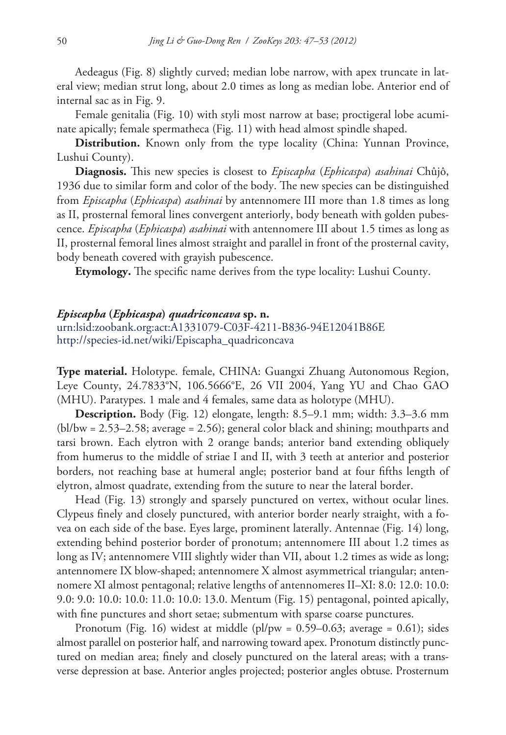Aedeagus (Fig. 8) slightly curved; median lobe narrow, with apex truncate in lateral view; median strut long, about 2.0 times as long as median lobe. Anterior end of internal sac as in Fig. 9.

Female genitalia (Fig. 10) with styli most narrow at base; proctigeral lobe acuminate apically; female spermatheca (Fig. 11) with head almost spindle shaped.

Distribution. Known only from the type locality (China: Yunnan Province, Lushui County).

**Diagnosis.** This new species is closest to *Episcapha* (*Ephicaspa*) *asahinai* Chûjô, 1936 due to similar form and color of the body. The new species can be distinguished from *Episcapha* (*Ephicaspa*) *asahinai* by antennomere III more than 1.8 times as long as II, prosternal femoral lines convergent anteriorly, body beneath with golden pubescence. *Episcapha* (*Ephicaspa*) *asahinai* with antennomere III about 1.5 times as long as II, prosternal femoral lines almost straight and parallel in front of the prosternal cavity, body beneath covered with grayish pubescence.

**Etymology.** The specific name derives from the type locality: Lushui County.

#### *Episcapha* **(***Ephicaspa***)** *quadriconcava* **sp. n.**

[urn:lsid:zoobank.org:act:A1331079-C03F-4211-B836-94E12041B86E](http://zoobank.org/?lsid=urn:lsid:zoobank.org:act:A1331079-C03F-4211-B836-94E12041B86E) [http://species-id.net/wiki/Episcapha\\_quadriconcava](http://species-id.net/wiki/Episcapha_quadriconcava)

**Type material.** Holotype. female, CHINA: Guangxi Zhuang Autonomous Region, Leye County, 24.7833°N, 106.5666°E, 26 VII 2004, Yang YU and Chao GAO (MHU). Paratypes. 1 male and 4 females, same data as holotype (MHU).

**Description.** Body (Fig. 12) elongate, length: 8.5–9.1 mm; width: 3.3–3.6 mm (bl/bw = 2.53–2.58; average = 2.56); general color black and shining; mouthparts and tarsi brown. Each elytron with 2 orange bands; anterior band extending obliquely from humerus to the middle of striae I and II, with 3 teeth at anterior and posterior borders, not reaching base at humeral angle; posterior band at four fifths length of elytron, almost quadrate, extending from the suture to near the lateral border.

Head (Fig. 13) strongly and sparsely punctured on vertex, without ocular lines. Clypeus finely and closely punctured, with anterior border nearly straight, with a fovea on each side of the base. Eyes large, prominent laterally. Antennae (Fig. 14) long, extending behind posterior border of pronotum; antennomere III about 1.2 times as long as IV; antennomere VIII slightly wider than VII, about 1.2 times as wide as long; antennomere IX blow-shaped; antennomere X almost asymmetrical triangular; antennomere XI almost pentagonal; relative lengths of antennomeres II–XI: 8.0: 12.0: 10.0: 9.0: 9.0: 10.0: 10.0: 11.0: 10.0: 13.0. Mentum (Fig. 15) pentagonal, pointed apically, with fine punctures and short setae; submentum with sparse coarse punctures.

Pronotum (Fig. 16) widest at middle (pl/pw =  $0.59-0.63$ ; average =  $0.61$ ); sides almost parallel on posterior half, and narrowing toward apex. Pronotum distinctly punctured on median area; finely and closely punctured on the lateral areas; with a transverse depression at base. Anterior angles projected; posterior angles obtuse. Prosternum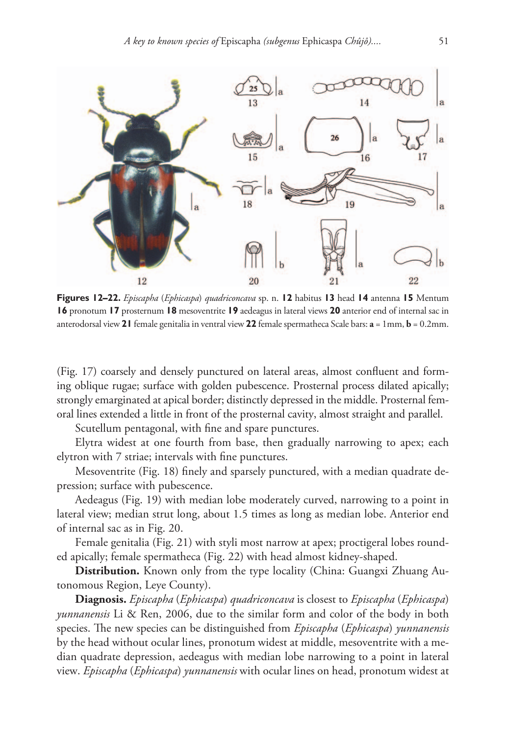

**Figures 12–22.** *Episcapha* (*Ephicaspa*) *quadriconcava* sp. n. **12** habitus **13** head **14** antenna **15** Mentum **16** pronotum **17** prosternum **18** mesoventrite **19** aedeagus in lateral views **20** anterior end of internal sac in anterodorsal view **21** female genitalia in ventral view **22** female spermatheca Scale bars: **a** = 1mm, **b** = 0.2mm.

(Fig. 17) coarsely and densely punctured on lateral areas, almost confluent and forming oblique rugae; surface with golden pubescence. Prosternal process dilated apically; strongly emarginated at apical border; distinctly depressed in the middle. Prosternal femoral lines extended a little in front of the prosternal cavity, almost straight and parallel.

Scutellum pentagonal, with fine and spare punctures.

Elytra widest at one fourth from base, then gradually narrowing to apex; each elytron with 7 striae; intervals with fine punctures.

Mesoventrite (Fig. 18) finely and sparsely punctured, with a median quadrate depression; surface with pubescence.

Aedeagus (Fig. 19) with median lobe moderately curved, narrowing to a point in lateral view; median strut long, about 1.5 times as long as median lobe. Anterior end of internal sac as in Fig. 20.

Female genitalia (Fig. 21) with styli most narrow at apex; proctigeral lobes rounded apically; female spermatheca (Fig. 22) with head almost kidney-shaped.

**Distribution.** Known only from the type locality (China: Guangxi Zhuang Autonomous Region, Leye County).

**Diagnosis.** *Episcapha* (*Ephicaspa*) *quadriconcava* is closest to *Episcapha* (*Ephicaspa*) *yunnanensis* Li & Ren, 2006, due to the similar form and color of the body in both species. The new species can be distinguished from *Episcapha* (*Ephicaspa*) *yunnanensis*  by the head without ocular lines, pronotum widest at middle, mesoventrite with a median quadrate depression, aedeagus with median lobe narrowing to a point in lateral view. *Episcapha* (*Ephicaspa*) *yunnanensis* with ocular lines on head, pronotum widest at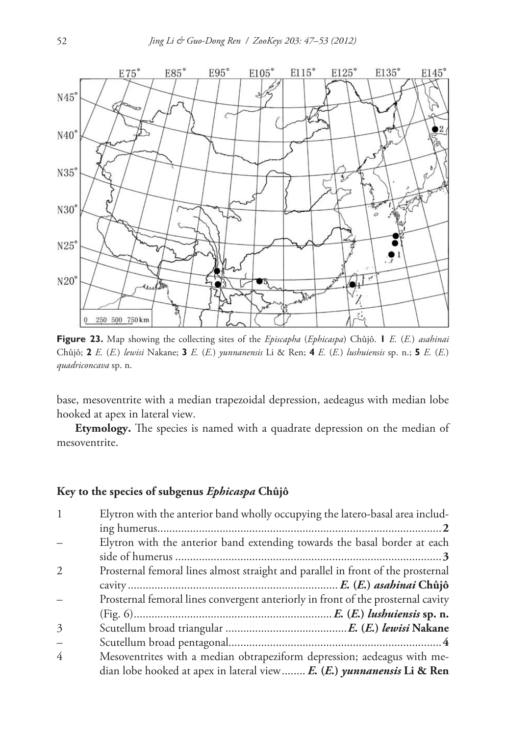

**Figure 23.** Map showing the collecting sites of the *Episcapha* (*Ephicaspa*) Chûjô. **1** *E.* (*E.*) *asahinai*  Chûjô; **2** *E.* (*E.*) *lewisi* Nakane; **3** *E.* (*E.*) *yunnanensis* Li & Ren; **4** *E.* (*E.*) *lushuiensis* sp. n.; **5** *E.* (*E.*) *quadriconcava* sp. n.

base, mesoventrite with a median trapezoidal depression, aedeagus with median lobe hooked at apex in lateral view.

**Etymology.** The species is named with a quadrate depression on the median of mesoventrite.

# **Key to the species of subgenus** *Ephicaspa* **Chûjô**

|               | Elytron with the anterior band wholly occupying the latero-basal area includ-    |
|---------------|----------------------------------------------------------------------------------|
|               |                                                                                  |
|               | Elytron with the anterior band extending towards the basal border at each        |
|               |                                                                                  |
| $\mathcal{L}$ | Prosternal femoral lines almost straight and parallel in front of the prosternal |
|               |                                                                                  |
|               | Prosternal femoral lines convergent anteriorly in front of the prosternal cavity |
|               |                                                                                  |
| $\mathcal{Z}$ |                                                                                  |
|               |                                                                                  |
| 4             | Mesoventrites with a median obtrapeziform depression; aedeagus with me-          |
|               | dian lobe hooked at apex in lateral view E. (E.) yunnanensis Li & Ren            |